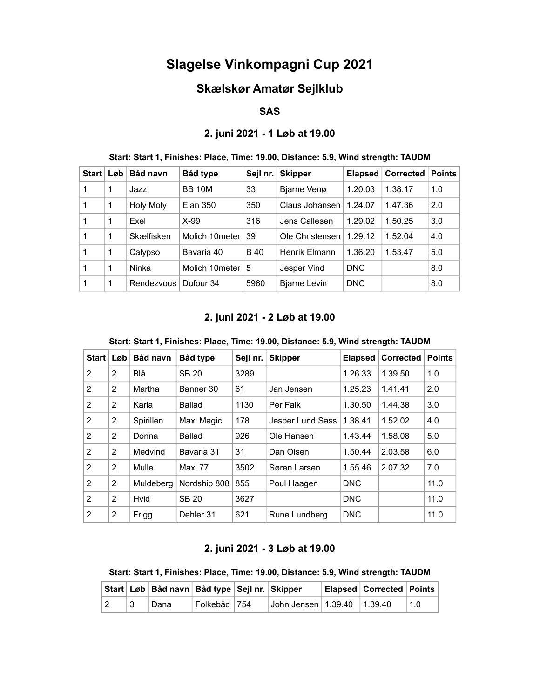# Slagelse Vinkompagni Cup 2021

## Skælskør Amatør Sejlklub

#### SAS

## 2. juni 2021 - 1 Løb at 19.00

## Start: Start 1, Finishes: Place, Time: 19.00, Distance: 5.9, Wind strength: TAUDM

| Start   Løb |   | Båd navn         | Båd type        | Sejl nr. | <b>Skipper</b>       | Elapsed    | <b>Corrected</b> | <b>Points</b> |
|-------------|---|------------------|-----------------|----------|----------------------|------------|------------------|---------------|
|             |   | Jazz             | <b>BB 10M</b>   | 33       | Bjarne Venø          | 1.20.03    | 1.38.17          | 1.0           |
| 1           | 1 | <b>Holy Moly</b> | <b>Elan 350</b> | 350      | Claus Johansen       | 1.24.07    | 1.47.36          | 2.0           |
| 1           | 1 | Exel             | $X-99$          | 316      | Jens Callesen        | 1.29.02    | 1.50.25          | 3.0           |
| 1           | 1 | Skælfisken       | Molich 10meter  | 39       | Ole Christensen      | 1.29.12    | 1.52.04          | 4.0           |
|             | 1 | Calypso          | Bavaria 40      | B 40     | <b>Henrik Elmann</b> | 1.36.20    | 1.53.47          | 5.0           |
| 1           | 1 | Ninka            | Molich 10meter  | 5        | Jesper Vind          | <b>DNC</b> |                  | 8.0           |
|             | 1 | Rendezvous       | Dufour 34       | 5960     | <b>Bjarne Levin</b>  | <b>DNC</b> |                  | 8.0           |

## 2. juni 2021 - 2 Løb at 19.00

#### Start: Start 1, Finishes: Place, Time: 19.00, Distance: 5.9, Wind strength: TAUDM

| <b>Start</b>   | Løb            | Båd navn  | Båd type     | Sejl nr. | <b>Skipper</b>   | <b>Elapsed</b> | <b>Corrected</b> | <b>Points</b> |
|----------------|----------------|-----------|--------------|----------|------------------|----------------|------------------|---------------|
| 2              | 2              | Blå       | <b>SB 20</b> | 3289     |                  | 1.26.33        | 1.39.50          | 1.0           |
| 2              | 2              | Martha    | Banner 30    | 61       | Jan Jensen       | 1.25.23        | 1.41.41          | 2.0           |
| $\overline{2}$ | 2              | Karla     | Ballad       | 1130     | Per Falk         | 1.30.50        | 1.44.38          | 3.0           |
| 2              | $\overline{2}$ | Spirillen | Maxi Magic   | 178      | Jesper Lund Sass | 1.38.41        | 1.52.02          | 4.0           |
| 2              | $\overline{2}$ | Donna     | Ballad       | 926      | Ole Hansen       | 1.43.44        | 1.58.08          | 5.0           |
| 2              | $\overline{2}$ | Medvind   | Bavaria 31   | 31       | Dan Olsen        | 1.50.44        | 2.03.58          | 6.0           |
| 2              | 2              | Mulle     | Maxi 77      | 3502     | Søren Larsen     | 1.55.46        | 2.07.32          | 7.0           |
| 2              | 2              | Muldeberg | Nordship 808 | 855      | Poul Haagen      | <b>DNC</b>     |                  | 11.0          |
| $\overline{2}$ | 2              | Hvid      | <b>SB 20</b> | 3627     |                  | <b>DNC</b>     |                  | 11.0          |
| 2              | $\mathbf{2}$   | Frigg     | Dehler 31    | 621      | Rune Lundberg    | <b>DNC</b>     |                  | 11.0          |

### 2. juni 2021 - 3 Løb at 19.00

Start: Start 1, Finishes: Place, Time: 19.00, Distance: 5.9, Wind strength: TAUDM

|             | Start   Løb   Båd navn   Båd type   Sejl nr.   Skipper |                                     |                               | <b>Elapsed Corrected Points</b> |     |
|-------------|--------------------------------------------------------|-------------------------------------|-------------------------------|---------------------------------|-----|
| $ 2\rangle$ | Dana                                                   | $^\mid$ Folkebåd $\mid$ 754 $^\mid$ | John Jensen 1.39.40   1.39.40 |                                 | 1.0 |